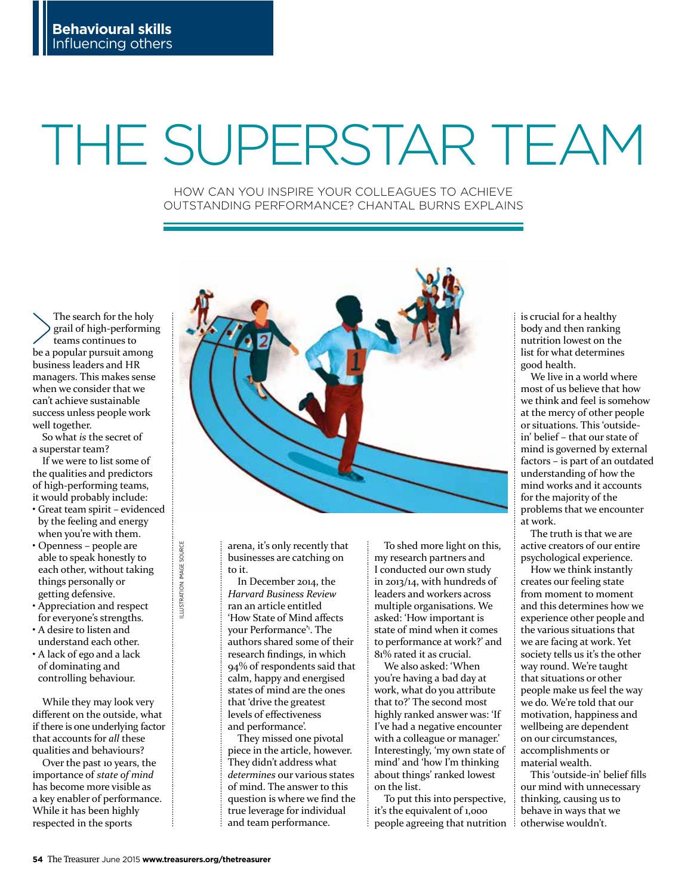# THE SUPERSTAR TEAM

HOW CAN YOU INSPIRE YOUR COLLEAGUES TO ACHIEVE OUTSTANDING PERFORMANCE? CHANTAL BURNS EXPLAINS

The search for the holy grail of high-performing teams continues to be a popular pursuit among business leaders and HR managers. This makes sense when we consider that we can't achieve sustainable success unless people work well together.

So what *is* the secret of a superstar team?

If we were to list some of the qualities and predictors of high-performing teams, it would probably include:

- Great team spirit evidenced by the feeling and energy when you're with them.
- Openness people are able to speak honestly to each other, without taking things personally or getting defensive.
- Appreciation and respect for everyone's strengths.
- A desire to listen and understand each other.
- A lack of ego and a lack of dominating and controlling behaviour.

While they may look very diferent on the outside, what if there is one underlying factor that accounts for *all* these qualities and behaviours?

Over the past 10 years, the importance of *state of mind* has become more visible as a key enabler of performance. While it has been highly respected in the sports



arena, it's only recently that businesses are catching on to it.

In December 2014, the *Harvard Business Review* ran an article entitled 'How State of Mind afects your Performance'1 . The authors shared some of their research fndings, in which 94% of respondents said that calm, happy and energised states of mind are the ones that 'drive the greatest levels of efectiveness and performance'.

They missed one pivotal piece in the article, however. They didn't address what *determines* our various states of mind. The answer to this question is where we fnd the true leverage for individual and team performance.

To shed more light on this, my research partners and I conducted our own study in 2013/14, with hundreds of leaders and workers across multiple organisations. We asked: 'How important is state of mind when it comes to performance at work?' and 81% rated it as crucial.

We also asked: 'When you're having a bad day at work, what do you attribute that to?' The second most highly ranked answer was: 'If I've had a negative encounter with a colleague or manager.' Interestingly, 'my own state of mind' and 'how I'm thinking about things' ranked lowest on the list.

To put this into perspective, it's the equivalent of 1,000 people agreeing that nutrition is crucial for a healthy body and then ranking nutrition lowest on the list for what determines good health.

We live in a world where most of us believe that how we think and feel is somehow at the mercy of other people or situations. This 'outsidein' belief – that our state of mind is governed by external factors – is part of an outdated understanding of how the mind works and it accounts for the majority of the problems that we encounter at work.

The truth is that we are active creators of our entire psychological experience.

How we think instantly creates our feeling state from moment to moment and this determines how we experience other people and the various situations that we are facing at work. Yet society tells us it's the other way round. We're taught that situations or other people make us feel the way we do. We're told that our motivation, happiness and wellbeing are dependent on our circumstances, accomplishments or material wealth.

This 'outside-in' belief flls our mind with unnecessary thinking, causing us to behave in ways that we otherwise wouldn't.

ILLUSTRATION: IMAGE SOURCE

LLUSTRATION: IMAGE SOURCE